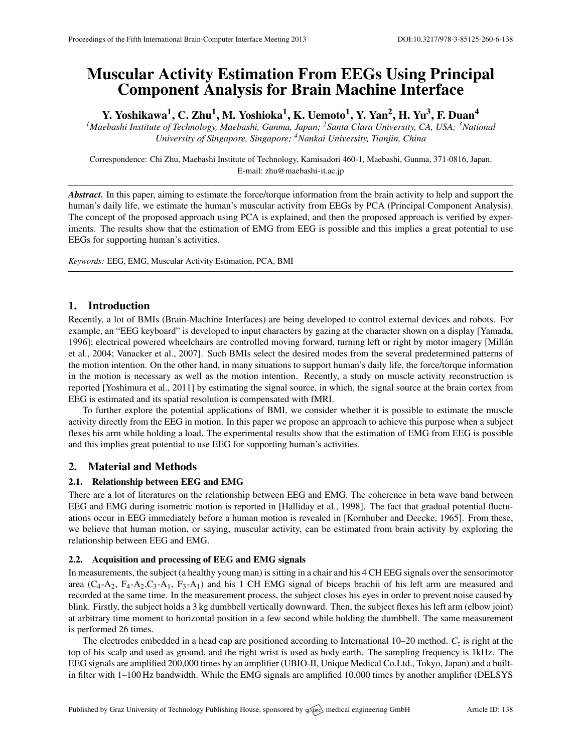# Muscular Activity Estimation From EEGs Using Principal Component Analysis for Brain Machine Interface

Y. Yoshikawa<sup>1</sup>, C. Zhu<sup>1</sup>, M. Yoshioka<sup>1</sup>, K. Uemoto<sup>1</sup>, Y. Yan<sup>2</sup>, H. Yu<sup>3</sup>, F. Duan<sup>4</sup>

*<sup>1</sup>Maebashi Institute of Technology, Maebashi, Gunma, Japan; <sup>2</sup>Santa Clara University, CA, USA; <sup>3</sup>National University of Singapore, Singapore; <sup>4</sup>Nankai University, Tianjin, China*

Correspondence: Chi Zhu, Maebashi Institute of Technology, Kamisadori 460-1, Maebashi, Gunma, 371-0816, Japan. E-mail: [zhu@maebashi-it.ac.jp](mailto:zhu@maebashi-it.ac.jp)

*Abstract.* In this paper, aiming to estimate the force/torque information from the brain activity to help and support the human's daily life, we estimate the human's muscular activity from EEGs by PCA (Principal Component Analysis). The concept of the proposed approach using PCA is explained, and then the proposed approach is verified by experiments. The results show that the estimation of EMG from EEG is possible and this implies a great potential to use EEGs for supporting human's activities.

*Keywords:* EEG, EMG, Muscular Activity Estimation, PCA, BMI

# 1. Introduction

Recently, a lot of BMIs (Brain-Machine Interfaces) are being developed to control external devices and robots. For example, an "EEG keyboard" is developed to input characters by gazing at the character shown on a display [\[Yamada,](#page-1-0) [1996\]](#page-1-0); electrical powered wheelchairs are controlled moving forward, turning left or right by motor imagery [\[Millan´](#page-1-1) [et al.,](#page-1-1) [2004;](#page-1-1) [Vanacker et al.,](#page-1-2) [2007\]](#page-1-2). Such BMIs select the desired modes from the several predetermined patterns of the motion intention. On the other hand, in many situations to support human's daily life, the force/torque information in the motion is necessary as well as the motion intention. Recently, a study on muscle activity reconstruction is reported [\[Yoshimura et al.,](#page-1-3) [2011\]](#page-1-3) by estimating the signal source, in which, the signal source at the brain cortex from EEG is estimated and its spatial resolution is compensated with fMRI.

To further explore the potential applications of BMI, we consider whether it is possible to estimate the muscle activity directly from the EEG in motion. In this paper we propose an approach to achieve this purpose when a subject flexes his arm while holding a load. The experimental results show that the estimation of EMG from EEG is possible and this implies great potential to use EEG for supporting human's activities.

# 2. Material and Methods

#### 2.1. Relationship between EEG and EMG

There are a lot of literatures on the relationship between EEG and EMG. The coherence in beta wave band between EEG and EMG during isometric motion is reported in [\[Halliday et al.,](#page-1-4) [1998\]](#page-1-4). The fact that gradual potential fluctuations occur in EEG immediately before a human motion is revealed in [\[Kornhuber and Deecke,](#page-1-5) [1965\]](#page-1-5). From these, we believe that human motion, or saying, muscular activity, can be estimated from brain activity by exploring the relationship between EEG and EMG.

#### 2.2. Acquisition and processing of EEG and EMG signals

In measurements, the subject (a healthy young man) is sitting in a chair and his 4 CH EEG signals over the sensorimotor area  $(C_4-A_2, F_4-A_2, C_3-A_1, F_3-A_1)$  and his 1 CH EMG signal of biceps brachii of his left arm are measured and recorded at the same time. In the measurement process, the subject closes his eyes in order to prevent noise caused by blink. Firstly, the subject holds a 3 kg dumbbell vertically downward. Then, the subject flexes his left arm (elbow joint) at arbitrary time moment to horizontal position in a few second while holding the dumbbell. The same measurement is performed 26 times.

The electrodes embedded in a head cap are positioned according to International 10–20 method. *C<sup>z</sup>* is right at the top of his scalp and used as ground, and the right wrist is used as body earth. The sampling frequency is 1kHz. The EEG signals are amplified 200,000 times by an amplifier (UBIO-II, Unique Medical Co.Ltd., Tokyo, Japan) and a builtin filter with 1–100 Hz bandwidth. While the EMG signals are amplified 10,000 times by another amplifier (DELSYS